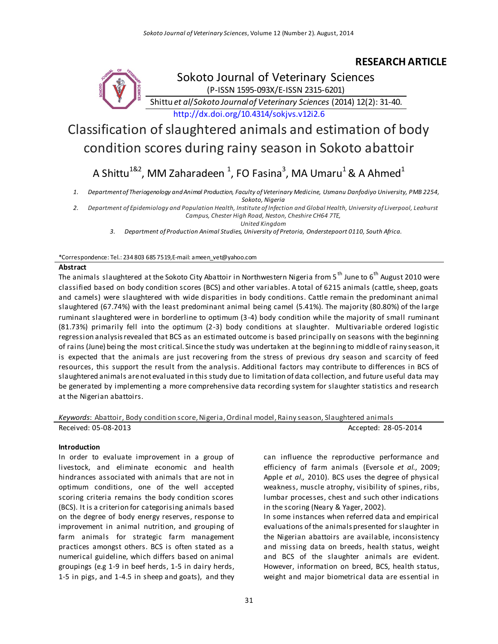# **RESEARCH ARTICLE**



(P-ISSN 1595-093X/E-ISSN 2315-6201)

Shittu *et al*/*Sokoto Journal of Veterinary Sciences* (2014) 12(2): 31-40.

<http://dx.doi.org/10.4314/sokjvs.v12i2.6>

# Classification of slaughtered animals and estimation of body condition scores during rainy season in Sokoto abattoir

# A Shittu $^{182}$ , MM Zaharadeen  $^1$ , FO Fasina $^3$ , MA Umaru $^1$  & A Ahmed $^1$

*1. Department of Theriogenology and Animal Production, Faculty of Veterinary Medicine, Usmanu Danfodiyo University, PMB 2254, Sokoto, Nigeria*

*2. Department of Epidemiology and Population Health, Institute of Infection and Global Health, University of Liverpool, Leahurst Campus, Chester High Road, Neston, Cheshire CH64 7TE,*

*United Kingdom*

*3. Department of Production Animal Studies, University of Pretoria, Onderstepoort 0110, South Africa.*

#### \*Correspondence: Tel.: 234 803 685 7519,E-mail: ameen\_vet@yahoo.com

### **Abstract**

The animals slaughtered at the Sokoto City Abattoir in Northwestern Nigeria from 5<sup>th</sup> June to 6<sup>th</sup> August 2010 were classified based on body condition scores (BCS) and other variables. A total of 6215 animals (cattle, sheep, goats and camels) were slaughtered with wide disparities in body conditions. Cattle remain the predominant animal slaughtered (67.74%) with the least predominant animal being camel (5.41%). The majority (80.80%) of the large ruminant slaughtered were in borderline to optimum (3-4) body condition while the majority of small ruminant (81.73%) primarily fell into the optimum (2-3) body conditions at slaughter. Multivariable ordered logistic regression analysis revealed that BCS as an estimated outcome is based principally on seasons with the beginning of rains (June) being the most critical. Since the study was undertaken at the beginning to middle of rainy season, it is expected that the animals are just recovering from the stress of previous dry season and scarcity of feed resources, this support the result from the analysis. Additional factors may contribute to differences in BCS of slaughtered animals are not evaluated in this study due to limitation of data collection, and future useful data may be generated by implementing a more comprehensive data recording system for slaughter statistics and research at the Nigerian abattoirs.

*Keywords*: Abattoir, Body condition score, Nigeria, Ordinal model, Rainy season, Slaughtered animals Received: 05-08-2013 **Accepted: 28-05-2014** 

#### **Introduction**

In order to evaluate improvement in a group of livestock, and eliminate economic and health hindrances associated with animals that are not in optimum conditions, one of the well accepted scoring criteria remains the body condition scores (BCS). It is a criterion for categorising animals based on the degree of body energy reserves, response to improvement in animal nutrition, and grouping of farm animals for strategic farm management practices amongst others. BCS is often stated as a numerical guideline, which differs based on animal groupings (e.g 1-9 in beef herds, 1-5 in dairy herds, 1-5 in pigs, and 1-4.5 in sheep and goats), and they can influence the reproductive performance and efficiency of farm animals (Eversole *et al.*, 2009; Apple *et al.,* 2010). BCS uses the degree of physical weakness, muscle atrophy, visibility of spines, ribs, lumbar processes, chest and such other indications in the scoring (Neary & Yager, 2002).

In some instances when referred data and empirical evaluations of the animals presented for slaughter in the Nigerian abattoirs are available, inconsistency and missing data on breeds, health status, weight and BCS of the slaughter animals are evident. However, information on breed, BCS, health status, weight and major biometrical data are essential in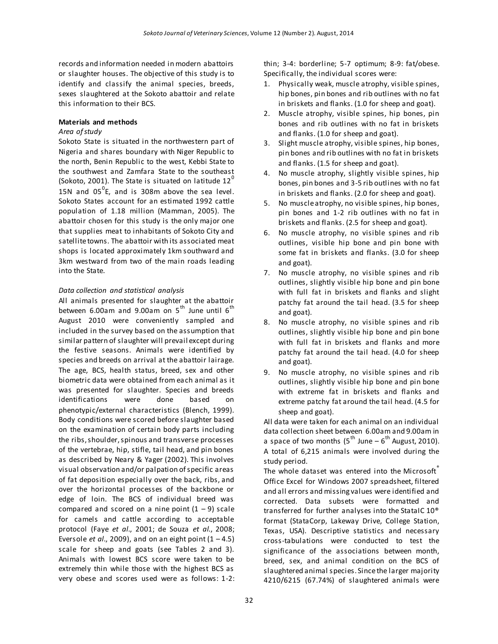records and information needed in modern abattoirs or slaughter houses. The objective of this study is to identify and classify the animal species, breeds, sexes slaughtered at the Sokoto abattoir and relate this information to their BCS.

#### **Materials and methods**

# *Area of study*

Sokoto State is situated in the northwestern part of Nigeria and shares boundary with Niger Republic to the north, Benin Republic to the west, Kebbi State to the southwest and Zamfara State to the southeast (Sokoto, 2001). The State is situated on latitude  $12<sup>0</sup>$ 15N and  $05^0$ E, and is 308m above the sea level. Sokoto States account for an estimated 1992 cattle population of 1.18 million (Mamman, 2005). The abattoir chosen for this study is the only major one that supplies meat to inhabitants of Sokoto City and satellite towns. The abattoir with its associated meat shops is located approximately 1km southward and 3km westward from two of the main roads leading into the State.

# *Data collection and statistical analysis*

All animals presented for slaughter at the abattoir between 6.00am and 9.00am on  $5<sup>th</sup>$  June until  $6<sup>th</sup>$ August 2010 were conveniently sampled and included in the survey based on the assumption that similar pattern of slaughter will prevail except during the festive seasons. Animals were identified by species and breeds on arrival at the abattoir lairage. The age, BCS, health status, breed, sex and other biometric data were obtained from each animal as it was presented for slaughter. Species and breeds identifications were done based on phenotypic/external characteristics (Blench, 1999). Body conditions were scored before slaughter based on the examination of certain body parts including the ribs, shoulder, spinous and transverse processes of the vertebrae, hip, stifle, tail head, and pin bones as described by Neary & Yager (2002). This involves visual observation and/or palpation of specific areas of fat deposition especially over the back, ribs, and over the horizontal processes of the backbone or edge of loin. The BCS of individual breed was compared and scored on a nine point  $(1 – 9)$  scale for camels and cattle according to acceptable protocol (Faye *et al*., 2001; de Souza *et al.*, 2008; Eversole *et al.*, 2009), and on an eight point  $(1 - 4.5)$ scale for sheep and goats (see Tables 2 and 3). Animals with lowest BCS score were taken to be extremely thin while those with the highest BCS as very obese and scores used were as follows: 1-2: thin; 3-4: borderline; 5-7 optimum; 8-9: fat/obese. Specifically, the individual scores were:

- 1. Physically weak, muscle atrophy, visible spines, hip bones, pin bones and rib outlines with no fat in briskets and flanks. (1.0 for sheep and goat).
- 2. Muscle atrophy, visible spines, hip bones, pin bones and rib outlines with no fat in briskets and flanks. (1.0 for sheep and goat).
- 3. Slight muscle atrophy, visible spines, hip bones, pin bones and rib outlines with no fat in briskets and flanks. (1.5 for sheep and goat).
- 4. No muscle atrophy, slightly visible spines, hip bones, pin bones and 3-5 rib outlines with no fat in briskets and flanks. (2.0 for sheep and goat).
- 5. No muscle atrophy, no visible spines, hip bones, pin bones and 1-2 rib outlines with no fat in briskets and flanks. (2.5 for sheep and goat).
- 6. No muscle atrophy, no visible spines and rib outlines, visible hip bone and pin bone with some fat in briskets and flanks. (3.0 for sheep and goat).
- 7. No muscle atrophy, no visible spines and rib outlines, slightly visible hip bone and pin bone with full fat in briskets and flanks and slight patchy fat around the tail head. (3.5 for sheep and goat).
- 8. No muscle atrophy, no visible spines and rib outlines, slightly visible hip bone and pin bone with full fat in briskets and flanks and more patchy fat around the tail head. (4.0 for sheep and goat).
- 9. No muscle atrophy, no visible spines and rib outlines, slightly visible hip bone and pin bone with extreme fat in briskets and flanks and extreme patchy fat around the tail head. (4.5 for sheep and goat).

All data were taken for each animal on an individual data collection sheet between 6.00am and 9.00am in a space of two months (5<sup>th</sup> June – 6<sup>th</sup> August, 2010). A total of 6,215 animals were involved during the study period.

The whole dataset was entered into the Microsoft Office Excel for Windows 2007 spreadsheet, filtered and all errors and missing values were identified and corrected. Data subsets were formatted and transferred for further analyses into the StataIC 10® format (StataCorp, Lakeway Drive, College Station, Texas, USA). Descriptive statistics and necessary cross-tabulations were conducted to test the significance of the associations between month, breed, sex, and animal condition on the BCS of slaughtered animal species. Since the larger majority 4210/6215 (67.74%) of slaughtered animals were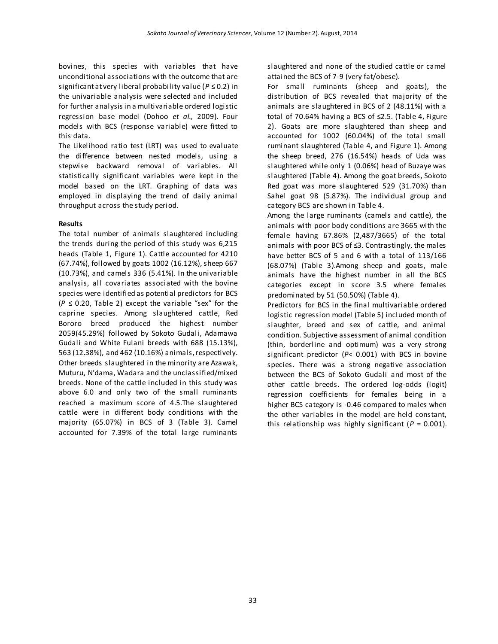bovines, this species with variables that have unconditional associations with the outcome that are significant at very liberal probability value (*P* ≤ 0.2) in the univariable analysis were selected and included for further analysis in a multivariable ordered logistic regression base model (Dohoo *et al.,* 2009). Four models with BCS (response variable) were fitted to this data.

The Likelihood ratio test (LRT) was used to evaluate the difference between nested models, using a stepwise backward removal of variables. All statistically significant variables were kept in the model based on the LRT. Graphing of data was employed in displaying the trend of daily animal throughput across the study period.

#### **Results**

The total number of animals slaughtered including the trends during the period of this study was 6,215 heads (Table 1, Figure 1). Cattle accounted for 4210 (67.74%), followed by goats 1002 (16.12%), sheep 667 (10.73%), and camels 336 (5.41%). In the univariable analysis, all covariates associated with the bovine species were identified as potential predictors for BCS (*P* ≤ 0.20, Table 2) except the variable "sex" for the caprine species. Among slaughtered cattle, Red Bororo breed produced the highest number 2059(45.29%) followed by Sokoto Gudali, Adamawa Gudali and White Fulani breeds with 688 (15.13%), 563 (12.38%), and 462 (10.16%) animals, respectively. Other breeds slaughtered in the minority are Azawak, Muturu, N'dama, Wadara and the unclassified/mixed breeds. None of the cattle included in this study was above 6.0 and only two of the small ruminants reached a maximum score of 4.5.The slaughtered cattle were in different body conditions with the majority (65.07%) in BCS of 3 (Table 3). Camel accounted for 7.39% of the total large ruminants

slaughtered and none of the studied cattle or camel attained the BCS of 7-9 (very fat/obese).

For small ruminants (sheep and goats), the distribution of BCS revealed that majority of the animals are slaughtered in BCS of 2 (48.11%) with a total of 70.64% having a BCS of ≤2.5. (Table 4, Figure 2). Goats are more slaughtered than sheep and accounted for 1002 (60.04%) of the total small ruminant slaughtered (Table 4, and Figure 1). Among the sheep breed, 276 (16.54%) heads of Uda was slaughtered while only 1 (0.06%) head of Buzaye was slaughtered (Table 4). Among the goat breeds, Sokoto Red goat was more slaughtered 529 (31.70%) than Sahel goat 98 (5.87%). The individual group and category BCS are shown in Table 4.

Among the large ruminants (camels and cattle), the animals with poor body conditions are 3665 with the female having 67.86% (2,487/3665) of the total animals with poor BCS of ≤3. Contrastingly, the males have better BCS of 5 and 6 with a total of 113/166 (68.07%) (Table 3).Among sheep and goats, male animals have the highest number in all the BCS categories except in score 3.5 where females predominated by 51 (50.50%) (Table 4).

Predictors for BCS in the final multivariable ordered logistic regression model (Table 5) included month of slaughter, breed and sex of cattle, and animal condition. Subjective assessment of animal condition (thin, borderline and optimum) was a very strong significant predictor (*P*< 0.001) with BCS in bovine species. There was a strong negative association between the BCS of Sokoto Gudali and most of the other cattle breeds. The ordered log-odds (logit) regression coefficients for females being in a higher BCS category is -0.46 compared to males when the other variables in the model are held constant, this relationship was highly significant ( $P = 0.001$ ).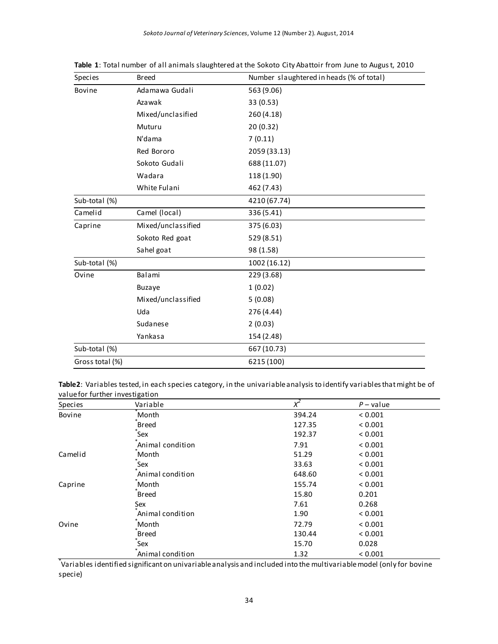| Species         | <b>Breed</b>       | Number slaughtered in heads (% of total) |  |  |  |  |  |  |
|-----------------|--------------------|------------------------------------------|--|--|--|--|--|--|
| Bovine          | Adamawa Gudali     | 563 (9.06)                               |  |  |  |  |  |  |
|                 | Azawak             | 33 (0.53)                                |  |  |  |  |  |  |
|                 | Mixed/unclasified  | 260 (4.18)                               |  |  |  |  |  |  |
|                 | Muturu             | 20 (0.32)                                |  |  |  |  |  |  |
|                 | N'dama             | 7(0.11)                                  |  |  |  |  |  |  |
|                 | Red Bororo         | 2059 (33.13)                             |  |  |  |  |  |  |
|                 | Sokoto Gudali      | 688 (11.07)                              |  |  |  |  |  |  |
|                 | Wadara             | 118 (1.90)                               |  |  |  |  |  |  |
|                 | White Fulani       | 462 (7.43)                               |  |  |  |  |  |  |
| Sub-total (%)   |                    | 4210 (67.74)                             |  |  |  |  |  |  |
| Camelid         | Camel (local)      | 336 (5.41)                               |  |  |  |  |  |  |
| Caprine         | Mixed/unclassified | 375 (6.03)                               |  |  |  |  |  |  |
|                 | Sokoto Red goat    | 529 (8.51)                               |  |  |  |  |  |  |
|                 | Sahel goat         | 98 (1.58)                                |  |  |  |  |  |  |
| Sub-total (%)   |                    | 1002 (16.12)                             |  |  |  |  |  |  |
| Ovine           | Balami             | 229 (3.68)                               |  |  |  |  |  |  |
|                 | <b>Buzaye</b>      | 1(0.02)                                  |  |  |  |  |  |  |
|                 | Mixed/unclassified | 5(0.08)                                  |  |  |  |  |  |  |
|                 | Uda                | 276 (4.44)                               |  |  |  |  |  |  |
|                 | Sudanese           | 2(0.03)                                  |  |  |  |  |  |  |
|                 | Yankasa            | 154 (2.48)                               |  |  |  |  |  |  |
| Sub-total (%)   |                    | 667 (10.73)                              |  |  |  |  |  |  |
| Gross total (%) |                    | 6215 (100)                               |  |  |  |  |  |  |

**Table 1**: Total number of all animals slaughtered at the Sokoto City Abattoir from June to August, 2010

**Table2**: Variables tested, in each species category, in the univariable analysis to identify variables that might be of value for further investigation

| Species | Variable         | $x^2$  | $P$ – value |
|---------|------------------|--------|-------------|
| Bovine  | Month            | 394.24 | ${}< 0.001$ |
|         | <b>Breed</b>     | 127.35 | ${}< 0.001$ |
|         | Sex              | 192.37 | ${}< 0.001$ |
|         | Animal condition | 7.91   | ${}< 0.001$ |
| Camelid | Month            | 51.29  | ${}< 0.001$ |
|         | Sex              | 33.63  | ${}< 0.001$ |
|         | Animal condition | 648.60 | ${}< 0.001$ |
| Caprine | Month            | 155.74 | ${}< 0.001$ |
|         | <b>Breed</b>     | 15.80  | 0.201       |
|         | Sex              | 7.61   | 0.268       |
|         | Animal condition | 1.90   | ${}< 0.001$ |
| Ovine   | Month            | 72.79  | ${}< 0.001$ |
|         | <b>Breed</b>     | 130.44 | ${}< 0.001$ |
|         | Sex              | 15.70  | 0.028       |
|         | Animal condition | 1.32   | ${}< 0.001$ |

\* Variables identified significant on univariable analysis and included into the multivariable model (only for bovine specie)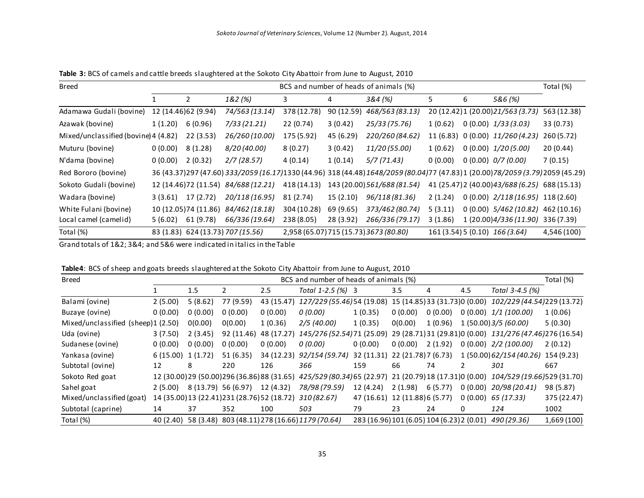| <b>Breed</b>                         | BCS and number of heads of animals (%) |                       |                                      |             |            |                                                                                                                                     | Total (%) |   |                                                |             |
|--------------------------------------|----------------------------------------|-----------------------|--------------------------------------|-------------|------------|-------------------------------------------------------------------------------------------------------------------------------------|-----------|---|------------------------------------------------|-------------|
|                                      |                                        | $\overline{2}$        | 1&2 (%)                              | 3           | 4          | 3&4 (%)                                                                                                                             | 5         | 6 | 5&6 (%)                                        |             |
| Adamawa Gudali (bovine)              |                                        | 12 (14.46) 62 (9.94)  | 74/563 (13.14)                       | 378 (12.78) | 90 (12.59) | 468/563 (83.13)                                                                                                                     |           |   | 20 (12.42) 1 (20.00) 21/563 (3.73)             | 563 (12.38) |
| Azawak (bovine)                      | 1(1.20)                                | 6(0.96)               | 7/33(21.21)                          | 22 (0.74)   | 3(0.42)    | 25/33 (75.76)                                                                                                                       | 1(0.62)   |   | $0(0.00)$ $1/33(3.03)$                         | 33(0.73)    |
| Mixed/unclassified (bovine) 4 (4.82) |                                        | 22(3.53)              | 26/260 (10.00)                       | 175 (5.92)  | 45 (6.29)  | 220/260 (84.62)                                                                                                                     | 11 (6.83) |   | 0(0.00) 11/260(4.23)                           | 260 (5.72)  |
| Muturu (bovine)                      | 0(0.00)                                | 8(1.28)               | 8/20 (40.00)                         | 8(0.27)     | 3(0.42)    | 11/20 (55.00)                                                                                                                       | 1(0.62)   |   | $0(0.00)$ $1/20(5.00)$                         | 20(0.44)    |
| N'dama (bovine)                      | 0(0.00)                                | 2(0.32)               | 2/7(28.57)                           | 4(0.14)     | 1(0.14)    | 5/7(71.43)                                                                                                                          | 0(0.00)   |   | 0(0.00) 0/7(0.00)                              | 7(0.15)     |
| Red Bororo (bovine)                  |                                        |                       |                                      |             |            | 36 (43.37) 297 (47.60) 333/2059 (16.17) 1330 (44.96) 318 (44.48) 1648/2059 (80.04) 77 (47.83) 1 (20.00) 78/2059 (3.79) 2059 (45.29) |           |   |                                                |             |
| Sokoto Gudali (bovine)               |                                        |                       | 12 (14.46) 72 (11.54) 84/688 (12.21) | 418 (14.13) |            | 143 (20.00) 561/688 (81.54)                                                                                                         |           |   | 41 (25.47) 2 (40.00) 43/688 (6.25) 688 (15.13) |             |
| Wadara (bovine)                      | 3(3.61)                                | 17 (2.72)             | 20/118 (16.95)                       | 81 (2.74)   | 15(2.10)   | 96/118 (81.36)                                                                                                                      | 2(1.24)   |   | $0(0.00)$ $2/118(16.95)$ 118(2.60)             |             |
| White Fulani (bovine)                |                                        | 10 (12.05) 74 (11.86) | 84/462 (18.18)                       | 304 (10.28) | 69 (9.65)  | 373/462 (80.74)                                                                                                                     | 5(3.11)   |   | $0(0.00)$ $5/462(10.82)$ 462(10.16)            |             |
| Local camel (camelid)                | 5(6.02)                                | 61 (9.78)             | 66/336 (19.64)                       | 238 (8.05)  | 28 (3.92)  | 266/336 (79.17)                                                                                                                     | 3(1.86)   |   | 1 (20.00)4/336 (11.90)                         | 336 (7.39)  |
| Total (%)                            |                                        |                       | 83 (1.83) 624 (13.73) 707 (15.56)    |             |            | 2,958 (65.07) 715 (15.73) 3673 (80.80)                                                                                              |           |   | 161 (3.54) 5 (0.10) 166 (3.64)                 | 4,546 (100) |

**Table 3:** BCS of camels and cattle breeds slaughtered at the Sokoto City Abattoir from June to August, 2010

Grand totals of 1&2; 3&4; and 5&6 were indicated in italics in the Table

|  |  |  |  | Table4: BCS of sheep and goats breeds slaughtered at the Sokoto City Abattoir from June to August, 2010 |
|--|--|--|--|---------------------------------------------------------------------------------------------------------|
|--|--|--|--|---------------------------------------------------------------------------------------------------------|

| <b>Breed</b>                       | BCS and number of heads of animals (%) |                     |            |                                              |                                                                                                        | Total (%)                                  |         |         |         |                                                            |             |
|------------------------------------|----------------------------------------|---------------------|------------|----------------------------------------------|--------------------------------------------------------------------------------------------------------|--------------------------------------------|---------|---------|---------|------------------------------------------------------------|-------------|
|                                    |                                        | 1.5                 |            | 2.5                                          | Total 1-2.5 (%) 3                                                                                      |                                            | 3.5     | 4       | 4.5     | Total 3-4.5 (%)                                            |             |
| Balami (ovine)                     | 2(5.00)                                | 5(8.62)             | 77 (9.59)  | 43 (15.47)                                   | 127/229 (55.46) 54 (19.08) 15 (14.85) 33 (31.73) 0 (0.00)                                              |                                            |         |         |         | 102/229 (44.54) 229 (13.72)                                |             |
| Buzaye (ovine)                     | 0(0.00)                                | 0(0.00)             | 0(0.00)    | 0(0.00)                                      | 0 (0.00)                                                                                               | 1(0.35)                                    | 0(0.00) | 0(0.00) | 0(0.00) | 1/1 (100.00)                                               | 1(0.06)     |
| Mixed/unclassified (sheep)1 (2.50) |                                        | 0(0.00)             | 0(0.00)    | 1(0.36)                                      | 2/5 (40.00)                                                                                            | 1(0.35)                                    | 0(0.00) | 1(0.96) |         | 1(50.00)3/5(60.00)                                         | 5(0.30)     |
| Uda (ovine)                        | 3(7.50)                                | 2(3.45)             | 92 (11.46) | 48 (17.27)                                   | 145/276 (52.54) 71 (25.09)                                                                             |                                            |         |         |         | 29 (28.71) 31 (29.81) 0 (0.00) 131/276 (47.46) 276 (16.54) |             |
| Sudanese (ovine)                   | 0(0.00)                                | 0(0.00)             | 0(0.00)    | 0(0.00)                                      | 0 (0.00)                                                                                               | 0(0.00)                                    | 0(0.00) | 2(1.92) | 0(0.00) | 2/2 (100.00)                                               | 2(0.12)     |
| Yankasa (ovine)                    | 6(15.00) 1(1.72)                       |                     | 51 (6.35)  | 34 (12.23)                                   | 92/154 (59.74)                                                                                         | 32 (11.31) 22 (21.78) 7 (6.73)             |         |         |         | 1 (50.00) 62/154 (40.26)                                   | 154 (9.23)  |
| Subtotal (ovine)                   | 12                                     | 8                   | 220        | 126                                          | 366                                                                                                    | 159                                        | 66      | 74      |         | 301                                                        | 667         |
| Sokoto Red goat                    |                                        |                     |            |                                              | 12 (30.00) 29 (50.00) 296 (36.86) 88 (31.65) 425/529 (80.34) 65 (22.97) 21 (20.79) 18 (17.31) 0 (0.00) |                                            |         |         |         | 104/529 (19.66) 529 (31.70)                                |             |
| Sahel goat                         | 2(5.00)                                | 8 (13.79) 56 (6.97) |            | 12 (4.32)                                    | 78/98 (79.59)                                                                                          | 12 (4.24)                                  | 2(1.98) | 6(5.77) | 0(0.00) | 20/98 (20.41)                                              | 98 (5.87)   |
| Mixed/unclassified (goat)          |                                        |                     |            | 14 (35.00) 13 (22.41) 231 (28.76) 52 (18.72) | 310 (82.67)                                                                                            | 47 (16.61) 12 (11.88) 6 (5.77)             |         |         | 0(0.00) | 65 (17.33)                                                 | 375 (22.47) |
| Subtotal (caprine)                 | 14                                     | 37                  | 352        | 100                                          | 503                                                                                                    | 79                                         | 23      | 24      | 0       | 124                                                        | 1002        |
| Total (%)                          | 40 (2.40)                              |                     |            |                                              | 58 (3.48) 803 (48.11) 278 (16.66) 1179 (70.64)                                                         | 283 (16.96) 101 (6.05) 104 (6.23) 2 (0.01) |         |         |         | 490 (29.36)                                                | 1,669 (100) |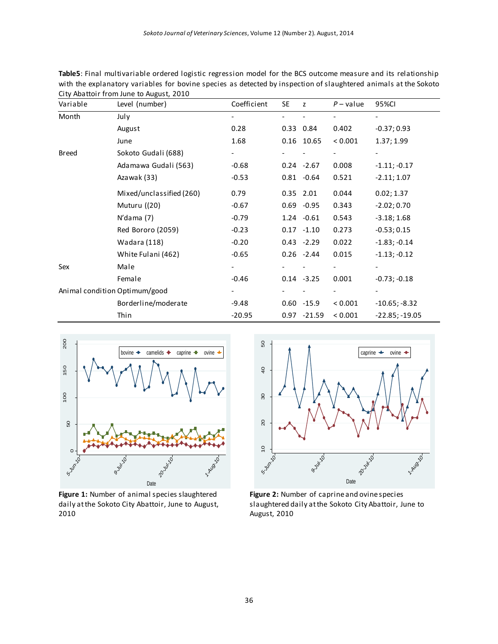|                               | City Addition from June to August, 2010 |             |           |                |             |                  |
|-------------------------------|-----------------------------------------|-------------|-----------|----------------|-------------|------------------|
| Variable                      | Level (number)                          | Coefficient | <b>SE</b> | Z              | $P$ – value | 95%CI            |
| Month                         | July                                    |             |           |                |             |                  |
|                               | August                                  | 0.28        |           | 0.33 0.84      | 0.402       | $-0.37;0.93$     |
|                               | June                                    | 1.68        |           | 0.16 10.65     | < 0.001     | 1.37; 1.99       |
| <b>Breed</b>                  | Sokoto Gudali (688)                     |             |           |                |             |                  |
|                               | Adamawa Gudali (563)                    | $-0.68$     |           | $0.24 - 2.67$  | 0.008       | $-1.11; -0.17$   |
|                               | Azawak (33)                             | $-0.53$     |           | $0.81 - 0.64$  | 0.521       | $-2.11; 1.07$    |
|                               | Mixed/unclassified (260)                | 0.79        |           | 0.35 2.01      | 0.044       | 0.02; 1.37       |
|                               | Muturu ((20)                            | $-0.67$     |           | $0.69 - 0.95$  | 0.343       | $-2.02; 0.70$    |
|                               | $N'$ dama $(7)$                         | $-0.79$     |           | $1.24 -0.61$   | 0.543       | $-3.18; 1.68$    |
|                               | Red Bororo (2059)                       | $-0.23$     |           | $0.17 - 1.10$  | 0.273       | $-0.53; 0.15$    |
|                               | Wadara (118)                            | $-0.20$     |           | $0.43 - 2.29$  | 0.022       | $-1.83; -0.14$   |
|                               | White Fulani (462)                      | $-0.65$     |           | $0.26 -2.44$   | 0.015       | $-1.13; -0.12$   |
| Sex                           | Male                                    |             |           |                |             |                  |
|                               | Female                                  | $-0.46$     |           | $0.14 - 3.25$  | 0.001       | $-0.73; -0.18$   |
| Animal condition Optimum/good |                                         |             |           |                |             |                  |
|                               | Borderline/moderate                     | -9.48       |           | $0.60 - 15.9$  | < 0.001     | $-10.65; -8.32$  |
|                               | Thin                                    | $-20.95$    |           | $0.97 - 21.59$ | < 0.001     | $-22.85: -19.05$ |

**Table5**: Final multivariable ordered logistic regression model for the BCS outcome measure and its relationship with the explanatory variables for bovine species as detected by inspection of slaughtered animals at the Sokoto City Abattoir from June to August, 2010



**Figure 1:** Number of animal species slaughtered daily at the Sokoto City Abattoir, June to August, 2010



**Figure 2:** Number of caprine and ovine species slaughtered daily at the Sokoto City Abattoir, June to August, 2010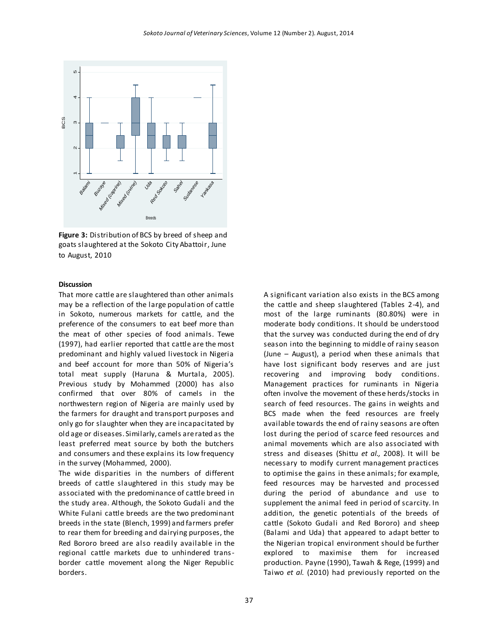

**Figure 3:** Distribution of BCS by breed of sheep and goats slaughtered at the Sokoto City Abattoir, June to August, 2010

# **Discussion**

That more cattle are slaughtered than other animals may be a reflection of the large population of cattle in Sokoto, numerous markets for cattle, and the preference of the consumers to eat beef more than the meat of other species of food animals. Tewe (1997), had earlier reported that cattle are the most predominant and highly valued livestock in Nigeria and beef account for more than 50% of Nigeria's total meat supply (Haruna & Murtala, 2005). Previous study by Mohammed (2000) has also confirmed that over 80% of camels in the northwestern region of Nigeria are mainly used by the farmers for draught and transport purposes and only go for slaughter when they are incapacitated by old age or diseases. Similarly, camels are rated as the least preferred meat source by both the butchers and consumers and these explains its low frequency in the survey (Mohammed, 2000).

The wide disparities in the numbers of different breeds of cattle slaughtered in this study may be associated with the predominance of cattle breed in the study area. Although, the Sokoto Gudali and the White Fulani cattle breeds are the two predominant breeds in the state (Blench, 1999) and farmers prefer to rear them for breeding and dairying purposes, the Red Bororo breed are also readily available in the regional cattle markets due to unhindered transborder cattle movement along the Niger Republic borders.

A significant variation also exists in the BCS among the cattle and sheep slaughtered (Tables 2-4), and most of the large ruminants (80.80%) were in moderate body conditions. It should be understood that the survey was conducted during the end of dry season into the beginning to middle of rainy season (June – August), a period when these animals that have lost significant body reserves and are just recovering and improving body conditions. Management practices for ruminants in Nigeria often involve the movement of these herds/stocks in search of feed resources. The gains in weights and BCS made when the feed resources are freely available towards the end of rainy seasons are often lost during the period of scarce feed resources and animal movements which are also associated with stress and diseases (Shittu *et al.,* 2008). It will be necessary to modify current management practices to optimise the gains in these animals; for example, feed resources may be harvested and processed during the period of abundance and use to supplement the animal feed in period of scarcity. In addition, the genetic potentials of the breeds of cattle (Sokoto Gudali and Red Bororo) and sheep (Balami and Uda) that appeared to adapt better to the Nigerian tropical environment should be further explored to maximise them for increased production. Payne (1990), Tawah & Rege, (1999) and Taiwo *et al.* (2010) had previously reported on the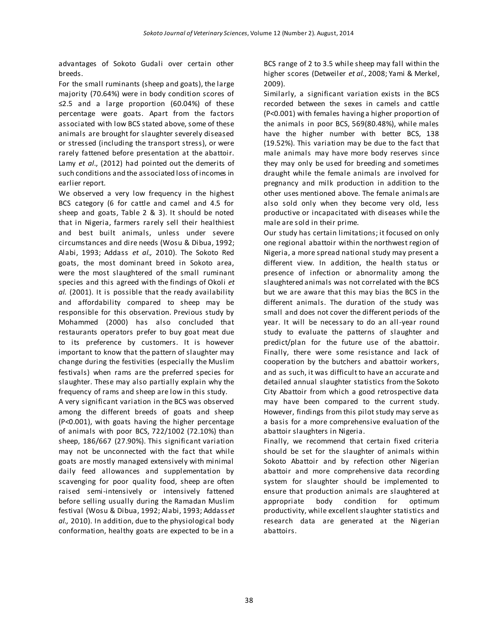advantages of Sokoto Gudali over certain other breeds.

For the small ruminants (sheep and goats), the large majority (70.64%) were in body condition scores of ≤2.5 and a large proportion (60.04%) of these percentage were goats. Apart from the factors associated with low BCS stated above, some of these animals are brought for slaughter severely diseased or stressed (including the transport stress), or were rarely fattened before presentation at the abattoir. Lamy *et al*., (2012) had pointed out the demerits of such conditions and the associated loss of incomes in earlier report.

We observed a very low frequency in the highest BCS category (6 for cattle and camel and 4.5 for sheep and goats, Table 2 & 3). It should be noted that in Nigeria, farmers rarely sell their healthiest and best built animals, unless under severe circumstances and dire needs (Wosu & Dibua, 1992; Alabi, 1993; Addass *et al.,* 2010). The Sokoto Red goats, the most dominant breed in Sokoto area, were the most slaughtered of the small ruminant species and this agreed with the findings of Okoli *et al.* (2001). It is possible that the ready availability and affordability compared to sheep may be responsible for this observation. Previous study by Mohammed (2000) has also concluded that restaurants operators prefer to buy goat meat due to its preference by customers. It is however important to know that the pattern of slaughter may change during the festivities (especially the Muslim festivals) when rams are the preferred species for slaughter. These may also partially explain why the frequency of rams and sheep are low in this study.

A very significant variation in the BCS was observed among the different breeds of goats and sheep (P<0.001), with goats having the higher percentage of animals with poor BCS, 722/1002 (72.10%) than sheep, 186/667 (27.90%). This significant variation may not be unconnected with the fact that while goats are mostly managed extensively with minimal daily feed allowances and supplementation by scavenging for poor quality food, sheep are often raised semi-intensively or intensively fattened before selling usually during the Ramadan Muslim festival (Wosu & Dibua, 1992; Alabi, 1993; Addass*et al.,* 2010). In addition, due to the physiological body conformation, healthy goats are expected to be in a

BCS range of 2 to 3.5 while sheep may fall within the higher scores (Detweiler *et al.*, 2008; Yami & Merkel, 2009).

Similarly, a significant variation exists in the BCS recorded between the sexes in camels and cattle (P<0.001) with females having a higher proportion of the animals in poor BCS, 569(80.48%), while males have the higher number with better BCS, 138 (19.52%). This variation may be due to the fact that male animals may have more body reserves since they may only be used for breeding and sometimes draught while the female animals are involved for pregnancy and milk production in addition to the other uses mentioned above. The female animals are also sold only when they become very old, less productive or incapacitated with diseases while the male are sold in their prime.

Our study has certain limitations; it focused on only one regional abattoir within the northwest region of Nigeria, a more spread national study may present a different view. In addition, the health status or presence of infection or abnormality among the slaughtered animals was not correlated with the BCS but we are aware that this may bias the BCS in the different animals. The duration of the study was small and does not cover the different periods of the year. It will be necessary to do an all-year round study to evaluate the patterns of slaughter and predict/plan for the future use of the abattoir. Finally, there were some resistance and lack of cooperation by the butchers and abattoir workers, and as such, it was difficult to have an accurate and detailed annual slaughter statistics from the Sokoto City Abattoir from which a good retrospective data may have been compared to the current study. However, findings from this pilot study may serve as a basis for a more comprehensive evaluation of the abattoir slaughters in Nigeria.

Finally, we recommend that certain fixed criteria should be set for the slaughter of animals within Sokoto Abattoir and by refection other Nigerian abattoir and more comprehensive data recording system for slaughter should be implemented to ensure that production animals are slaughtered at appropriate body condition for optimum productivity, while excellent slaughter statistics and research data are generated at the Nigerian abattoirs.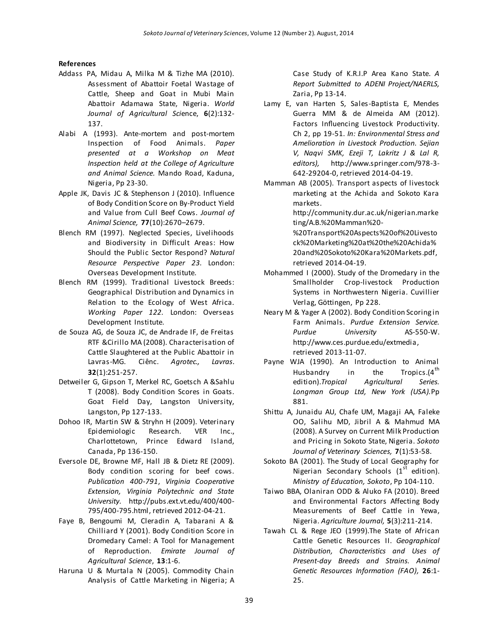# **References**

- Addass PA, Midau A, Milka M & Tizhe MA (2010). Assessment of Abattoir Foetal Wastage of Cattle, Sheep and Goat in Mubi Main Abattoir Adamawa State, Nigeria. *World Journal of Agricultural Sci*ence, **6**(2):132- 137.
- Alabi A (1993). Ante-mortem and post-mortem Inspection of Food Animals. *Paper presented at a Workshop on Meat Inspection held at the College of Agriculture and Animal Science.* Mando Road, Kaduna, Nigeria, Pp 23-30.
- Apple JK, Davis JC & Stephenson J (2010). Influence of Body Condition Score on By-Product Yield and Value from Cull Beef Cows. *Journal of Animal Science,* **77**(10):2670–2679.
- Blench RM (1997). Neglected Species, Livelihoods and Biodiversity in Difficult Areas: How Should the Public Sector Respond? *Natural Resource Perspective Paper 23.* London: Overseas Development Institute.
- Blench RM (1999). Traditional Livestock Breeds: Geographical Distribution and Dynamics in Relation to the Ecology of West Africa. *Working Paper 122.* London: Overseas Development Institute.
- de Souza AG, de Souza JC, de Andrade IF, de Freitas RTF &Cirillo MA (2008). Characterisation of Cattle Slaughtered at the Public Abattoir in Lavras-MG. Ciênc. *Agrotec., Lavras*. **32**(1):251-257.
- Detweiler G, Gipson T, Merkel RC, Goetsch A &Sahlu T (2008). Body Condition Scores in Goats. Goat Field Day, Langston University, Langston, Pp 127-133.
- Dohoo IR, Martin SW & Stryhn H (2009). Veterinary Epidemiologic Research. VER Inc., Charlottetown, Prince Edward Island, Canada, Pp 136-150.
- Eversole DE, Browne MF, Hall JB & Dietz RE (2009). Body condition scoring for beef cows. *Publication 400-791*, *Virginia Cooperative Extension, Virginia Polytechnic and State University.* [http://pubs.ext.vt.edu/400/400-](http://pubs.ext.vt.edu/400/400-795/400-795.html) [795/400-795.html,](http://pubs.ext.vt.edu/400/400-795/400-795.html) retrieved 2012-04-21.
- Faye B, Bengoumi M, Cleradin A, Tabarani A & Chilliard Y (2001). Body Condition Score in Dromedary Camel: A Tool for Management of Reproduction. *Emirate Journal of Agricultural Science*, **13**:1-6.
- Haruna U & Murtala N (2005). Commodity Chain Analysis of Cattle Marketing in Nigeria; A

Case Study of K.R.I.P Area Kano State. *A Report Submitted to ADENI Project/NAERLS,* Zaria, Pp 13-14.

- Lamy E, van Harten S, Sales-Baptista E, Mendes Guerra MM & de Almeida AM (2012). Factors Influencing Livestock Productivity. Ch 2, pp 19-51. *In: Environmental Stress and Amelioration in Livestock Production. Sejian V, Naqvi SMK, Ezeji T, Lakritz J & Lal R, editors),* [http://www.springer.com/978-3-](http://www.springer.com/978-3-642-29204-0) [642-29204-0,](http://www.springer.com/978-3-642-29204-0) retrieved 2014-04-19.
- Mamman AB (2005). Transport aspects of livestock marketing at the Achida and Sokoto Kara markets.

http://community.dur.ac.uk/nigerian.marke ting/A.B.%20Mamman%20-

%20Transport%20Aspects%20of%20Livesto ck%20Marketing%20at%20the%20Achida% 20and%20Sokoto%20Kara%20Markets.pdf, retrieved 2014-04-19.

- Mohammed I (2000). Study of the Dromedary in the Smallholder Crop-livestock Production Systems in Northwestern Nigeria. Cuvillier Verlag, Göttingen, Pp 228.
- Neary M & Yager A (2002). Body Condition Scoring in Farm Animals. *Purdue Extension Service. Purdue University* AS-550-W. [http://www.ces.purdue.edu/extmedia,](http://www.ces.purdue.edu/extmedia)  retrieved 2013-11-07.
- Payne WJA (1990). An Introduction to Animal Husbandry in the Tropics. $(4<sup>tn</sup>$ edition).*Tropical Agricultural Series. Longman Group Ltd, New York (USA).*Pp 881.
- Shittu A, Junaidu AU, Chafe UM, Magaji AA, Faleke OO, Salihu MD, Jibril A & Mahmud MA (2008). A Survey on Current Milk Production and Pricing in Sokoto State, Nigeria. *Sokoto Journal of Veterinary Sciences,* **7**(1):53-58.
- Sokoto BA (2001). The Study of Local Geography for Nigerian Secondary Schools  $(1<sup>st</sup>$  edition). *Ministry of Education, Sokoto*, Pp 104-110.
- Taiwo BBA, Olaniran ODD & Aluko FA (2010). Breed and Environmental Factors Affecting Body Measurements of Beef Cattle in Yewa, Nigeria. *Agriculture Journal,* **5**(3):211-214.
- Tawah CL & Rege JEO (1999).The State of African Cattle Genetic Resources II. *Geographical Distribution, Characteristics and Uses of Present-day Breeds and Strains. Animal Genetic Resources Information (FAO),* **26**:1- 25.